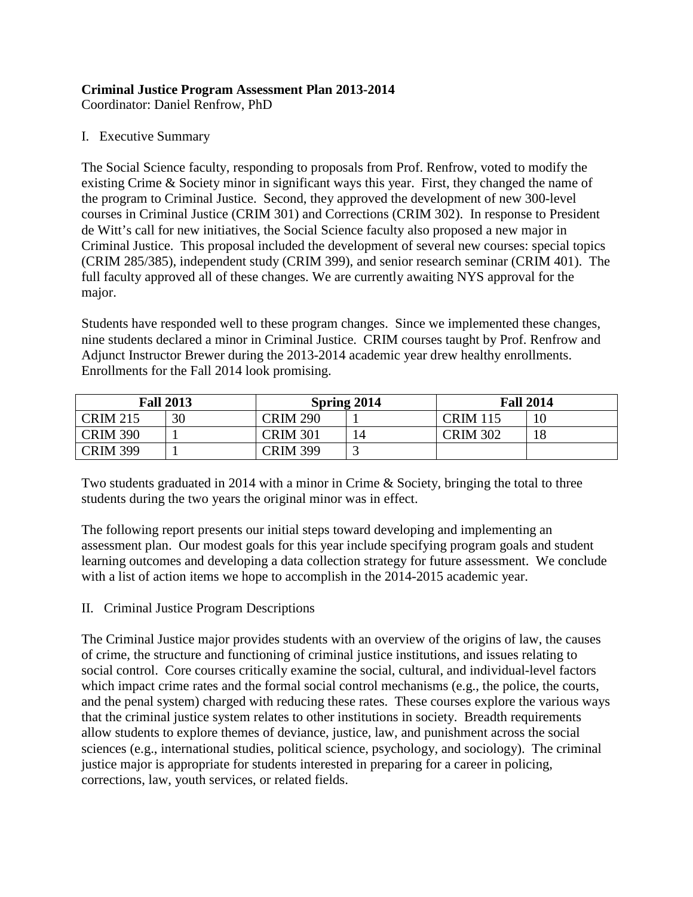# **Criminal Justice Program Assessment Plan 2013-2014**

Coordinator: Daniel Renfrow, PhD

### I. Executive Summary

The Social Science faculty, responding to proposals from Prof. Renfrow, voted to modify the existing Crime & Society minor in significant ways this year. First, they changed the name of the program to Criminal Justice. Second, they approved the development of new 300-level courses in Criminal Justice (CRIM 301) and Corrections (CRIM 302). In response to President de Witt's call for new initiatives, the Social Science faculty also proposed a new major in Criminal Justice. This proposal included the development of several new courses: special topics (CRIM 285/385), independent study (CRIM 399), and senior research seminar (CRIM 401). The full faculty approved all of these changes. We are currently awaiting NYS approval for the major.

Students have responded well to these program changes. Since we implemented these changes, nine students declared a minor in Criminal Justice. CRIM courses taught by Prof. Renfrow and Adjunct Instructor Brewer during the 2013-2014 academic year drew healthy enrollments. Enrollments for the Fall 2014 look promising.

| <b>Fall 2013</b> |    | Spring 2014     |   | <b>Fall 2014</b> |    |
|------------------|----|-----------------|---|------------------|----|
| <b>CRIM 215</b>  | 30 | <b>CRIM 290</b> |   | CRIM 115         | 10 |
| <b>CRIM 390</b>  |    | <b>CRIM 301</b> |   | <b>CRIM 302</b>  | 18 |
| <b>CRIM 399</b>  |    | <b>CRIM 399</b> | ້ |                  |    |

Two students graduated in 2014 with a minor in Crime & Society, bringing the total to three students during the two years the original minor was in effect.

The following report presents our initial steps toward developing and implementing an assessment plan. Our modest goals for this year include specifying program goals and student learning outcomes and developing a data collection strategy for future assessment. We conclude with a list of action items we hope to accomplish in the 2014-2015 academic year.

### II. Criminal Justice Program Descriptions

The Criminal Justice major provides students with an overview of the origins of law, the causes of crime, the structure and functioning of criminal justice institutions, and issues relating to social control. Core courses critically examine the social, cultural, and individual-level factors which impact crime rates and the formal social control mechanisms (e.g., the police, the courts, and the penal system) charged with reducing these rates. These courses explore the various ways that the criminal justice system relates to other institutions in society. Breadth requirements allow students to explore themes of deviance, justice, law, and punishment across the social sciences (e.g., international studies, political science, psychology, and sociology). The criminal justice major is appropriate for students interested in preparing for a career in policing, corrections, law, youth services, or related fields.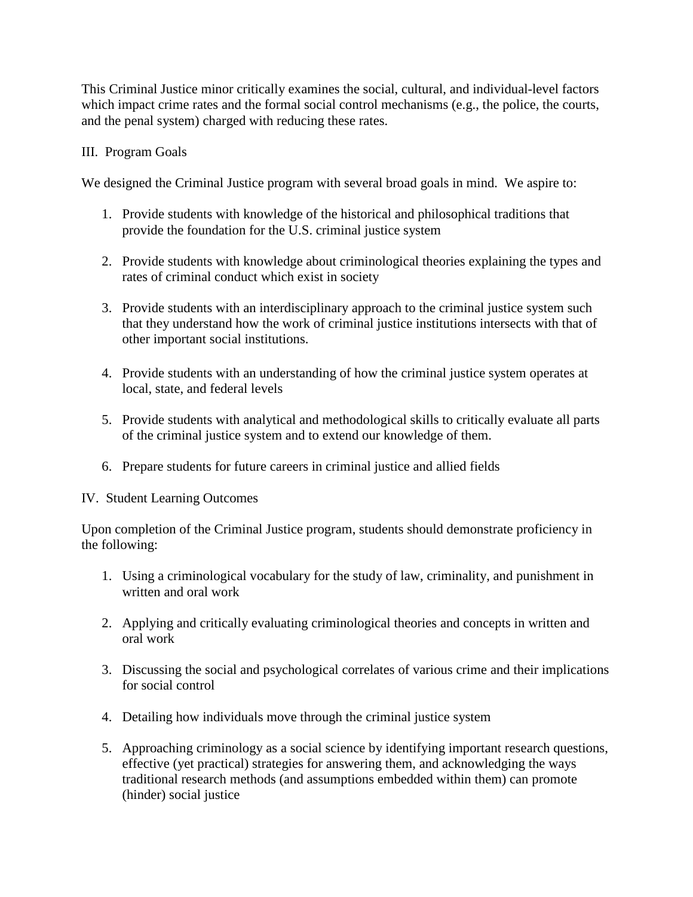This Criminal Justice minor critically examines the social, cultural, and individual-level factors which impact crime rates and the formal social control mechanisms (e.g., the police, the courts, and the penal system) charged with reducing these rates.

#### III. Program Goals

We designed the Criminal Justice program with several broad goals in mind. We aspire to:

- 1. Provide students with knowledge of the historical and philosophical traditions that provide the foundation for the U.S. criminal justice system
- 2. Provide students with knowledge about criminological theories explaining the types and rates of criminal conduct which exist in society
- 3. Provide students with an interdisciplinary approach to the criminal justice system such that they understand how the work of criminal justice institutions intersects with that of other important social institutions.
- 4. Provide students with an understanding of how the criminal justice system operates at local, state, and federal levels
- 5. Provide students with analytical and methodological skills to critically evaluate all parts of the criminal justice system and to extend our knowledge of them.
- 6. Prepare students for future careers in criminal justice and allied fields

#### IV. Student Learning Outcomes

Upon completion of the Criminal Justice program, students should demonstrate proficiency in the following:

- 1. Using a criminological vocabulary for the study of law, criminality, and punishment in written and oral work
- 2. Applying and critically evaluating criminological theories and concepts in written and oral work
- 3. Discussing the social and psychological correlates of various crime and their implications for social control
- 4. Detailing how individuals move through the criminal justice system
- 5. Approaching criminology as a social science by identifying important research questions, effective (yet practical) strategies for answering them, and acknowledging the ways traditional research methods (and assumptions embedded within them) can promote (hinder) social justice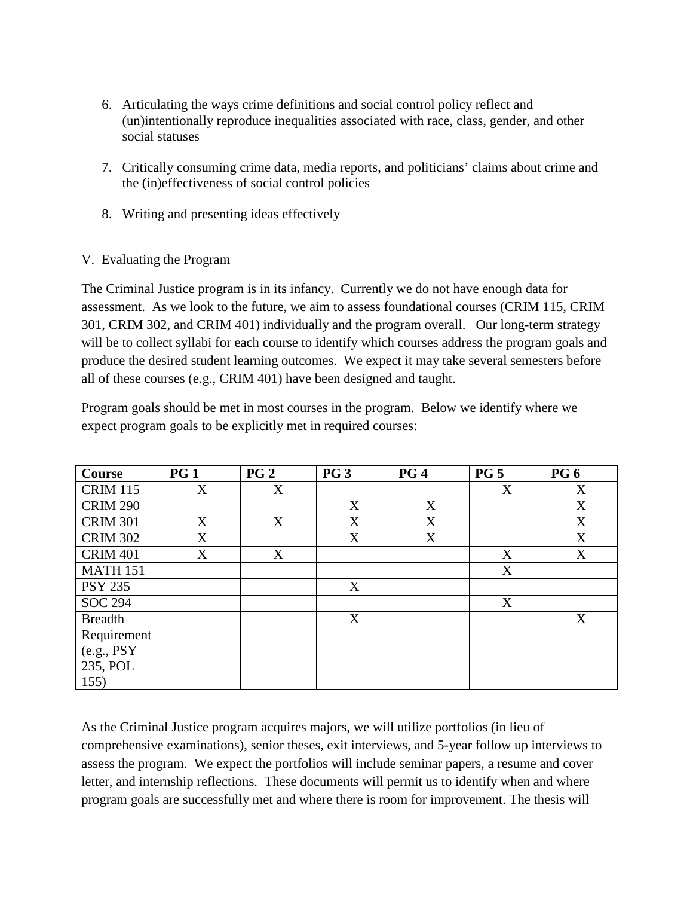- 6. Articulating the ways crime definitions and social control policy reflect and (un)intentionally reproduce inequalities associated with race, class, gender, and other social statuses
- 7. Critically consuming crime data, media reports, and politicians' claims about crime and the (in)effectiveness of social control policies
- 8. Writing and presenting ideas effectively

## V. Evaluating the Program

The Criminal Justice program is in its infancy. Currently we do not have enough data for assessment. As we look to the future, we aim to assess foundational courses (CRIM 115, CRIM 301, CRIM 302, and CRIM 401) individually and the program overall. Our long-term strategy will be to collect syllabi for each course to identify which courses address the program goals and produce the desired student learning outcomes. We expect it may take several semesters before all of these courses (e.g., CRIM 401) have been designed and taught.

Program goals should be met in most courses in the program. Below we identify where we expect program goals to be explicitly met in required courses:

| Course          | <b>PG1</b> | <b>PG 2</b> | <b>PG 3</b> | <b>PG4</b> | <b>PG 5</b> | <b>PG 6</b> |
|-----------------|------------|-------------|-------------|------------|-------------|-------------|
| <b>CRIM 115</b> | X          | X           |             |            | X           | X           |
| <b>CRIM 290</b> |            |             | X           | X          |             | X           |
| <b>CRIM 301</b> | X          | X           | X           | X          |             | X           |
| <b>CRIM 302</b> | X          |             | X           | X          |             | X           |
| <b>CRIM 401</b> | X          | X           |             |            | X           | X           |
| <b>MATH 151</b> |            |             |             |            | X           |             |
| <b>PSY 235</b>  |            |             | X           |            |             |             |
| <b>SOC 294</b>  |            |             |             |            | X           |             |
| <b>Breadth</b>  |            |             | X           |            |             | X           |
| Requirement     |            |             |             |            |             |             |
| (e.g., PSY)     |            |             |             |            |             |             |
| 235, POL        |            |             |             |            |             |             |
| 155)            |            |             |             |            |             |             |

As the Criminal Justice program acquires majors, we will utilize portfolios (in lieu of comprehensive examinations), senior theses, exit interviews, and 5-year follow up interviews to assess the program. We expect the portfolios will include seminar papers, a resume and cover letter, and internship reflections. These documents will permit us to identify when and where program goals are successfully met and where there is room for improvement. The thesis will